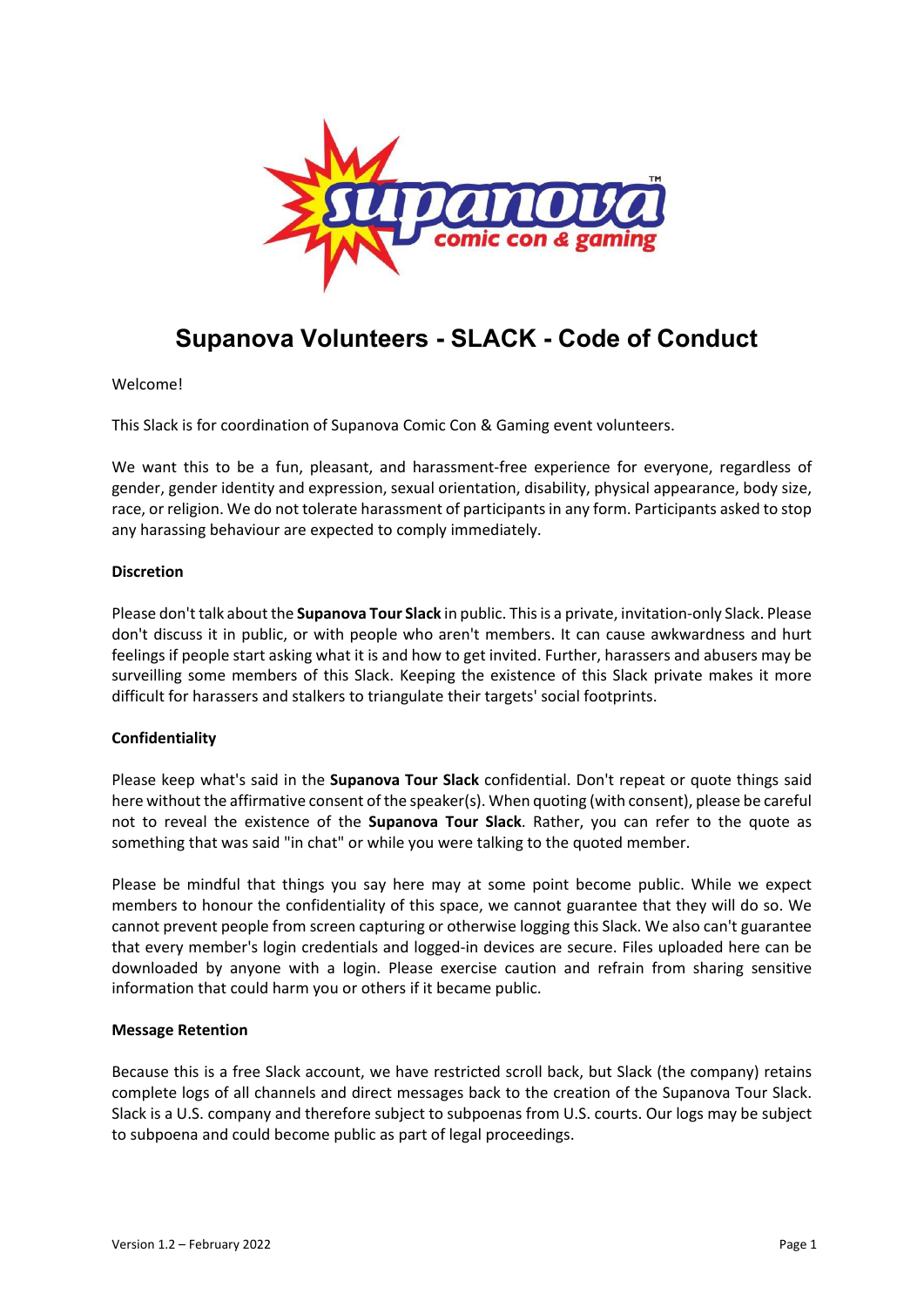

# **Supanova Volunteers - SLACK - Code of Conduct**

Welcome!

This Slack is for coordination of Supanova Comic Con & Gaming event volunteers.

We want this to be a fun, pleasant, and harassment-free experience for everyone, regardless of gender, gender identity and expression, sexual orientation, disability, physical appearance, body size, race, or religion. We do not tolerate harassment of participants in any form. Participants asked to stop any harassing behaviour are expected to comply immediately.

#### **Discretion**

Please don't talk about the **Supanova Tour Slack** in public. This is a private, invitation-only Slack. Please don't discuss it in public, or with people who aren't members. It can cause awkwardness and hurt feelings if people start asking what it is and how to get invited. Further, harassers and abusers may be surveilling some members of this Slack. Keeping the existence of this Slack private makes it more difficult for harassers and stalkers to triangulate their targets' social footprints.

## **Confidentiality**

Please keep what's said in the **Supanova Tour Slack** confidential. Don't repeat or quote things said here without the affirmative consent of the speaker(s). When quoting (with consent), please be careful not to reveal the existence of the **Supanova Tour Slack**. Rather, you can refer to the quote as something that was said "in chat" or while you were talking to the quoted member.

Please be mindful that things you say here may at some point become public. While we expect members to honour the confidentiality of this space, we cannot guarantee that they will do so. We cannot prevent people from screen capturing or otherwise logging this Slack. We also can't guarantee that every member's login credentials and logged-in devices are secure. Files uploaded here can be downloaded by anyone with a login. Please exercise caution and refrain from sharing sensitive information that could harm you or others if it became public.

## **Message Retention**

Because this is a free Slack account, we have restricted scroll back, but Slack (the company) retains complete logs of all channels and direct messages back to the creation of the Supanova Tour Slack. Slack is a U.S. company and therefore subject to subpoenas from U.S. courts. Our logs may be subject to subpoena and could become public as part of legal proceedings.